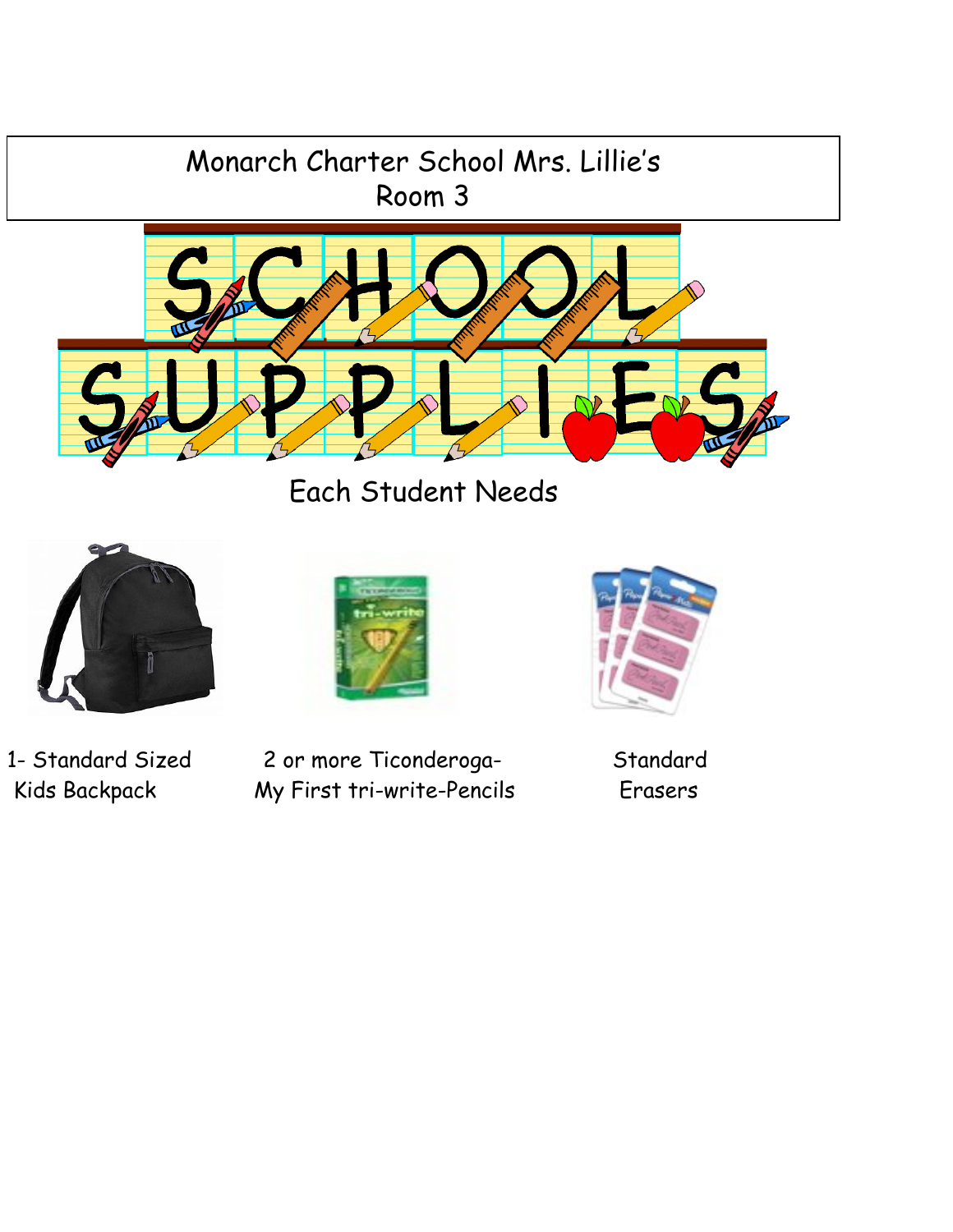



Each Student Needs





1- Standard Sized 2 or more Ticonderoga- Standard Kids Backpack My First tri-write-Pencils Erasers

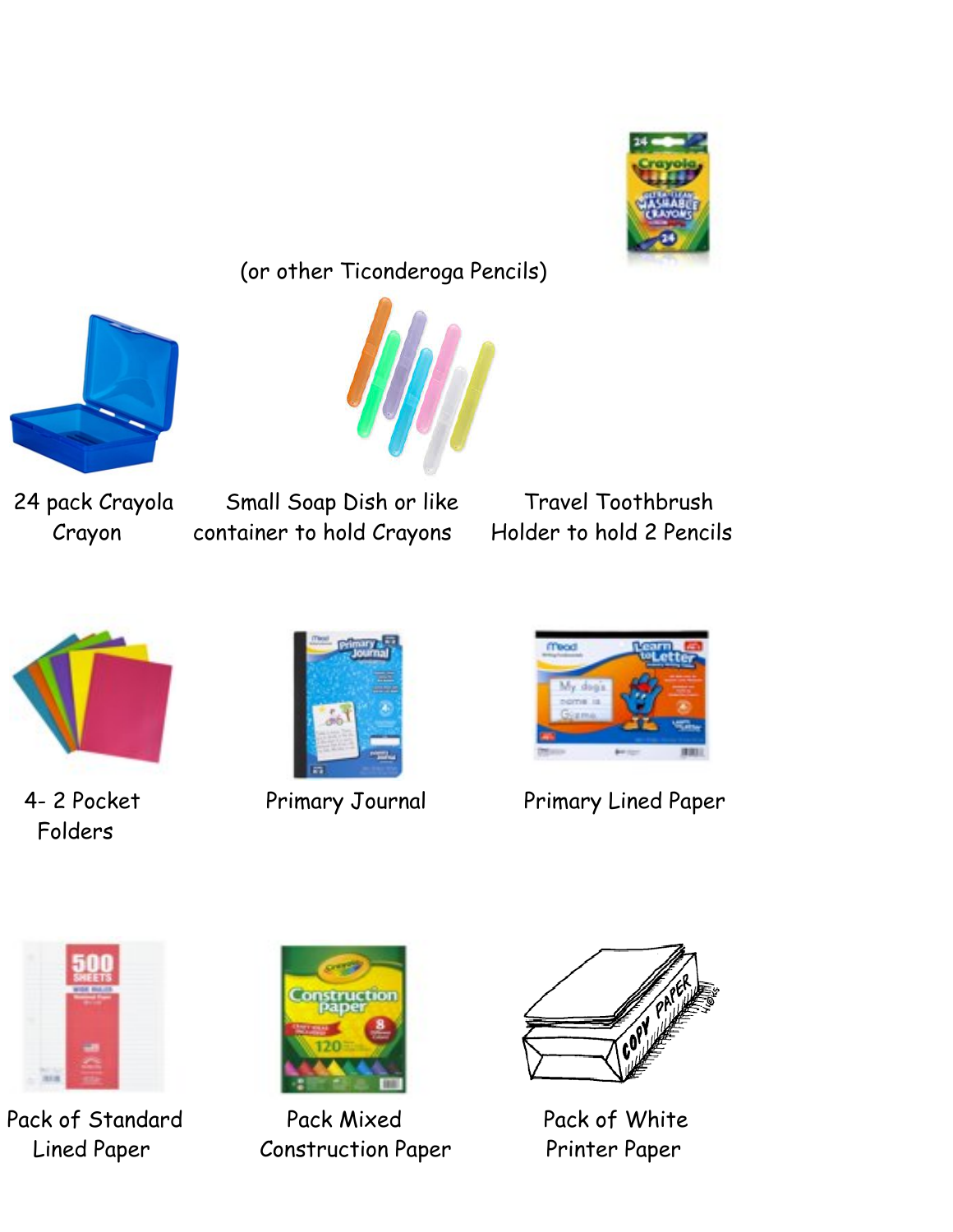

(or other Ticonderoga Pencils)





24 pack Crayola Small Soap Dish or like Travel Toothbrush Crayon container to hold Crayons Holder to hold 2 Pencils



Folders





4- 2 Pocket Primary Journal Primary Lined Paper



Pack of Standard Pack Mixed Pack of White



Lined Paper Construction Paper Printer Paper

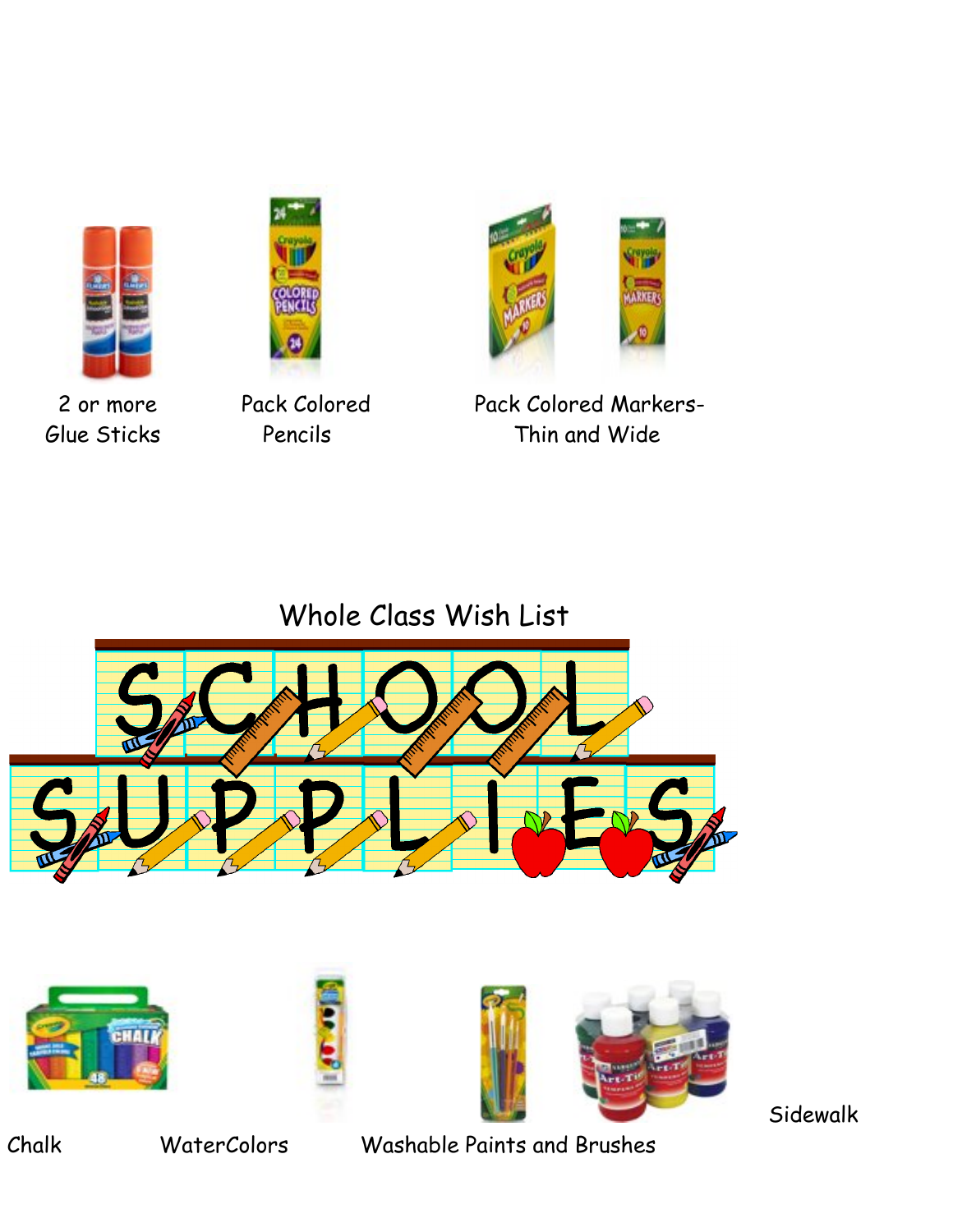





2 or more Pack Colored Pack Colored Markers-Glue Sticks Pencils Thin and Wide

Whole Class Wish List







Sidewalk

Chalk WaterColors Washable Paints and Brushes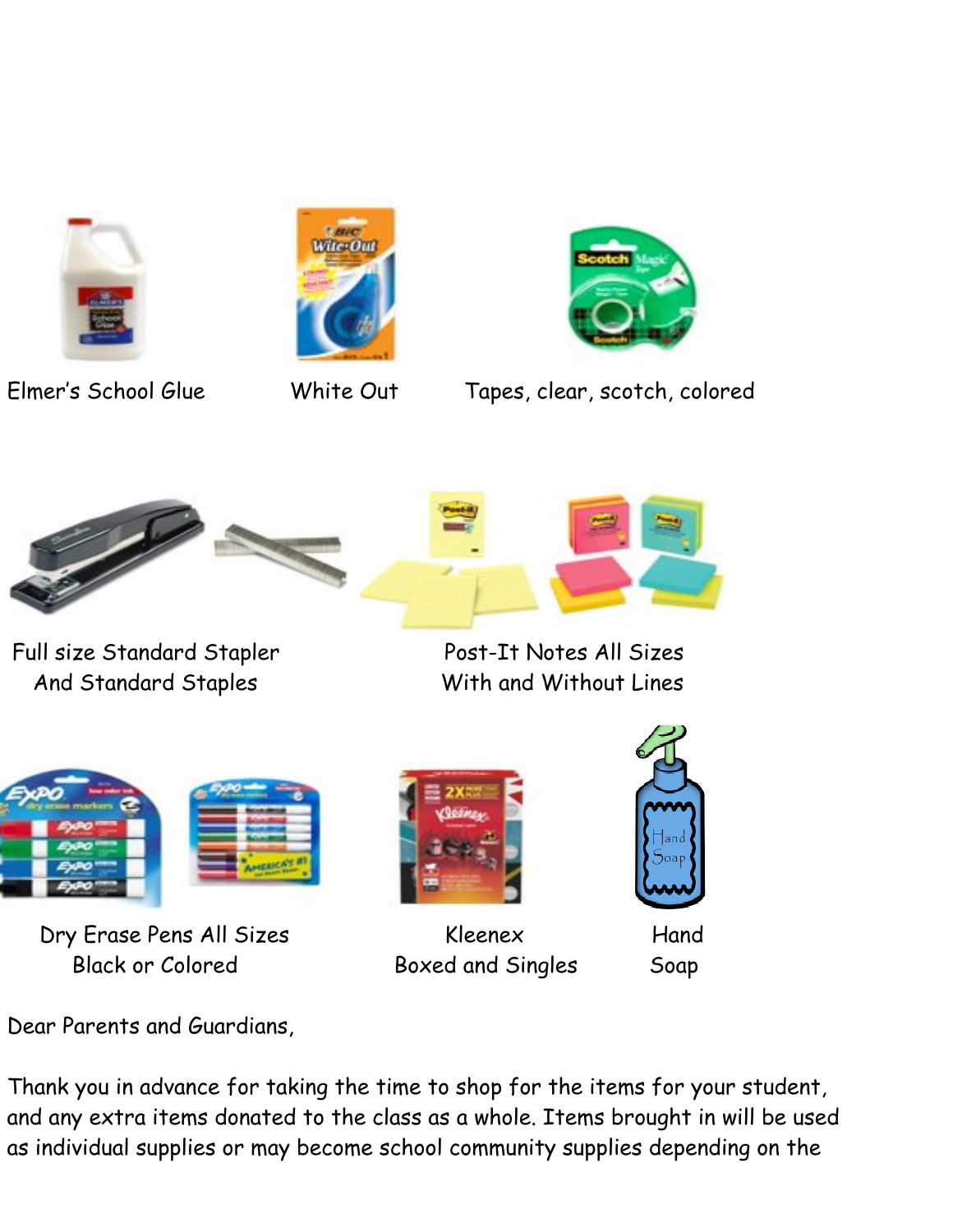





Elmer's School Glue White Out Tapes, clear, scotch, colored



Full size Standard Stapler Post-It Notes All Sizes And Standard Staples With and Without Lines



Dry Erase Pens All Sizes Kleenex Hand Black or Colored Boxed and Singles Soap





Dear Parents and Guardians,

Thank you in advance for taking the time to shop for the items for your student, and any extra items donated to the class as a whole. Items brought in will be used as individual supplies or may become school community supplies depending on the